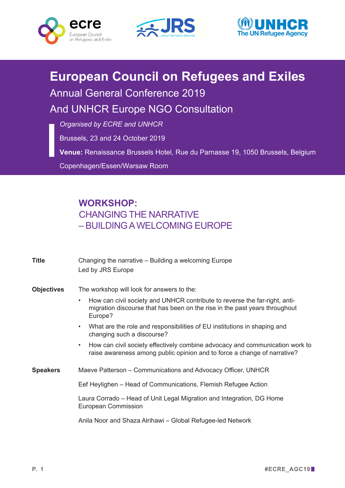





## **European Council on Refugees and Exiles**

Annual General Conference 2019

And UNHCR Europe NGO Consultation

*Organised by ECRE and UNHCR*

Brussels, 23 and 24 October 2019

**Venue:** Renaissance Brussels Hotel, Rue du Parnasse 19, 1050 Brussels, Belgium

Copenhagen/Essen/Warsaw Room

## **WORKSHOP:**  CHANGING THE NARRATIVE – BUILDING A WELCOMING EUROPE

| Title             | Changing the narrative - Building a welcoming Europe<br>Led by JRS Europe                                                                                                        |
|-------------------|----------------------------------------------------------------------------------------------------------------------------------------------------------------------------------|
| <b>Objectives</b> | The workshop will look for answers to the:                                                                                                                                       |
|                   | How can civil society and UNHCR contribute to reverse the far-right, anti-<br>$\bullet$<br>migration discourse that has been on the rise in the past years throughout<br>Europe? |
|                   | What are the role and responsibilities of EU institutions in shaping and<br>$\bullet$<br>changing such a discourse?                                                              |
|                   | How can civil society effectively combine advocacy and communication work to<br>$\bullet$<br>raise awareness among public opinion and to force a change of narrative?            |
| <b>Speakers</b>   | Maeve Patterson – Communications and Advocacy Officer, UNHCR                                                                                                                     |
|                   | Eef Heylighen – Head of Communications, Flemish Refugee Action                                                                                                                   |
|                   | Laura Corrado – Head of Unit Legal Migration and Integration, DG Home<br><b>European Commission</b>                                                                              |
|                   | Anila Noor and Shaza Alrihawi – Global Refugee-led Network                                                                                                                       |